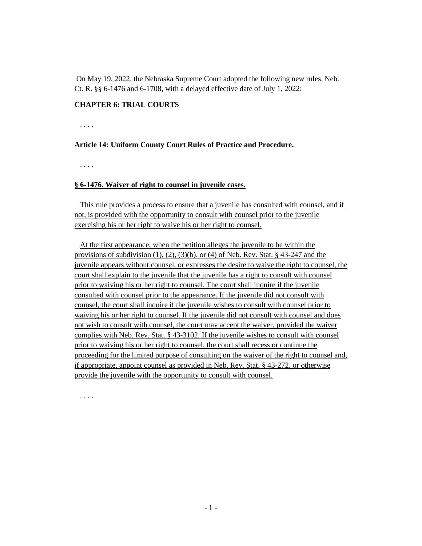On May 19, 2022, the Nebraska Supreme Court adopted the following new rules, Neb. Ct. R. §§ 6-1476 and 6-1708, with a delayed effective date of July 1, 2022:

## **CHAPTER 6: TRIAL COURTS**

. . . .

## **Article 14: Uniform County Court Rules of Practice and Procedure.**

. . . .

## **§ 6-1476. Waiver of right to counsel in juvenile cases.**

This rule provides a process to ensure that a juvenile has consulted with counsel, and if not, is provided with the opportunity to consult with counsel prior to the juvenile exercising his or her right to waive his or her right to counsel.

At the first appearance, when the petition alleges the juvenile to be within the provisions of subdivision  $(1)$ ,  $(2)$ ,  $(3)(b)$ , or  $(4)$  of Neb. Rev. Stat. § 43-247 and the juvenile appears without counsel, or expresses the desire to waive the right to counsel, the court shall explain to the juvenile that the juvenile has a right to consult with counsel prior to waiving his or her right to counsel. The court shall inquire if the juvenile consulted with counsel prior to the appearance. If the juvenile did not consult with counsel, the court shall inquire if the juvenile wishes to consult with counsel prior to waiving his or her right to counsel. If the juvenile did not consult with counsel and does not wish to consult with counsel, the court may accept the waiver, provided the waiver complies with Neb. Rev. Stat. § 43-3102. If the juvenile wishes to consult with counsel prior to waiving his or her right to counsel, the court shall recess or continue the proceeding for the limited purpose of consulting on the waiver of the right to counsel and, if appropriate, appoint counsel as provided in Neb. Rev. Stat. § 43-272, or otherwise provide the juvenile with the opportunity to consult with counsel.

. . . .